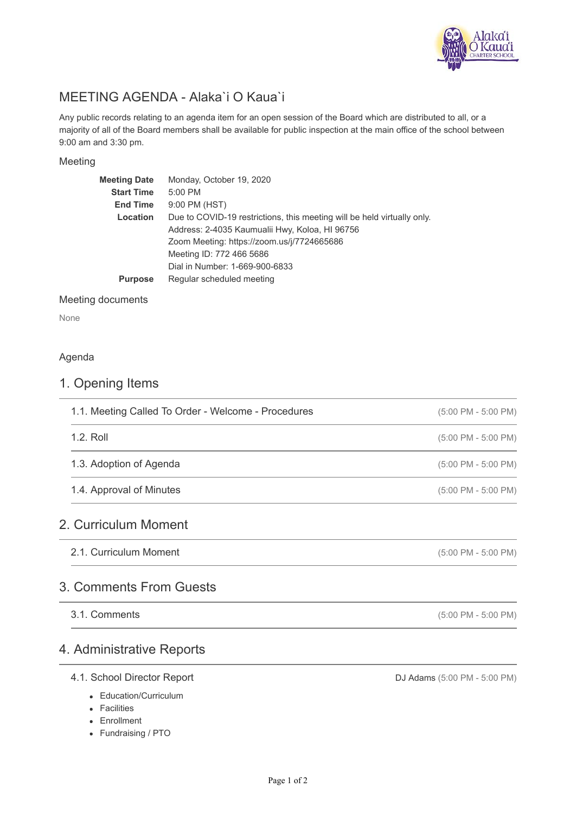

# MEETING AGENDA - Alaka`i O Kaua`i

Any public records relating to an agenda item for an open session of the Board which are distributed to all, or a majority of all of the Board members shall be available for public inspection at the main office of the school between 9:00 am and 3:30 pm.

### Meeting

| <b>Meeting Date</b> | Monday, October 19, 2020                                                |  |  |
|---------------------|-------------------------------------------------------------------------|--|--|
| <b>Start Time</b>   | 5:00 PM                                                                 |  |  |
| <b>End Time</b>     | 9:00 PM (HST)                                                           |  |  |
| Location            | Due to COVID-19 restrictions, this meeting will be held virtually only. |  |  |
|                     | Address: 2-4035 Kaumualii Hwy, Koloa, HI 96756                          |  |  |
|                     | Zoom Meeting: https://zoom.us/j/7724665686                              |  |  |
|                     | Meeting ID: 772 466 5686                                                |  |  |
|                     | Dial in Number: 1-669-900-6833                                          |  |  |
| <b>Purpose</b>      | Regular scheduled meeting                                               |  |  |
|                     |                                                                         |  |  |

### Meeting documents

None

### Agenda

### 1. Opening Items

| 1.1. Meeting Called To Order - Welcome - Procedures | $(5:00 \text{ PM} - 5:00 \text{ PM})$ |
|-----------------------------------------------------|---------------------------------------|
| $1.2.$ Roll                                         | $(5:00 \text{ PM} - 5:00 \text{ PM})$ |
| 1.3. Adoption of Agenda                             | $(5:00 \text{ PM} - 5:00 \text{ PM})$ |
| 1.4. Approval of Minutes                            | $(5:00 \text{ PM} - 5:00 \text{ PM})$ |
| 2. Curriculum Moment                                |                                       |

# 2. Curriculum Moment

| 2.1. Curriculum Moment | $(5:00 \text{ PM} - 5:00 \text{ PM})$ |
|------------------------|---------------------------------------|
|                        |                                       |

### 3. Comments From Guests

3.1. Comments

## 4. Administrative Reports

### 4.1. School Director Report

- Education/Curriculum
- Facilities
- Enrollment
- Fundraising / PTO

DJ Adams (5:00 PM - 5:00 PM)

(5:00 PM - 5:00 PM)